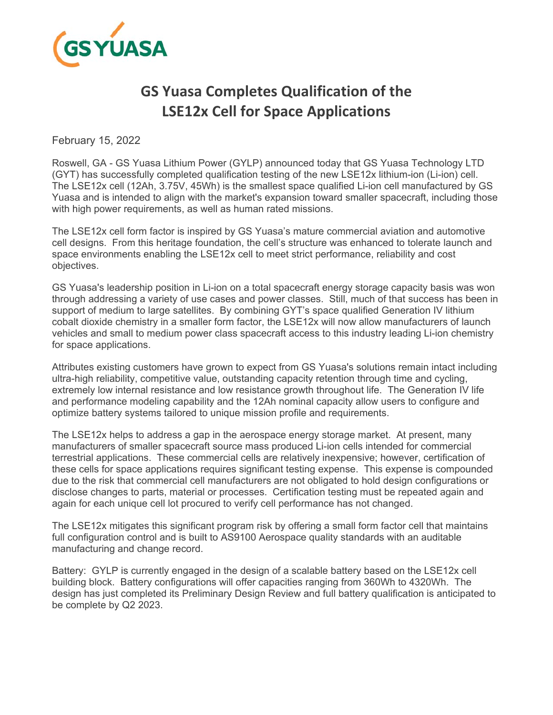

# **GS Yuasa Completes Qualification of the LSE12x Cell for Space Applications**

February 15, 2022

Roswell, GA - GS Yuasa Lithium Power (GYLP) announced today that GS Yuasa Technology LTD (GYT) has successfully completed qualification testing of the new LSE12x lithium-ion (Li-ion) cell. The LSE12x cell (12Ah, 3.75V, 45Wh) is the smallest space qualified Li-ion cell manufactured by GS Yuasa and is intended to align with the market's expansion toward smaller spacecraft, including those with high power requirements, as well as human rated missions.

The LSE12x cell form factor is inspired by GS Yuasa's mature commercial aviation and automotive cell designs. From this heritage foundation, the cell's structure was enhanced to tolerate launch and space environments enabling the LSE12x cell to meet strict performance, reliability and cost objectives.

GS Yuasa's leadership position in Li-ion on a total spacecraft energy storage capacity basis was won through addressing a variety of use cases and power classes. Still, much of that success has been in support of medium to large satellites. By combining GYT's space qualified Generation IV lithium cobalt dioxide chemistry in a smaller form factor, the LSE12x will now allow manufacturers of launch vehicles and small to medium power class spacecraft access to this industry leading Li-ion chemistry for space applications.

Attributes existing customers have grown to expect from GS Yuasa's solutions remain intact including ultra-high reliability, competitive value, outstanding capacity retention through time and cycling, extremely low internal resistance and low resistance growth throughout life. The Generation IV life and performance modeling capability and the 12Ah nominal capacity allow users to configure and optimize battery systems tailored to unique mission profile and requirements.

The LSE12x helps to address a gap in the aerospace energy storage market. At present, many manufacturers of smaller spacecraft source mass produced Li-ion cells intended for commercial terrestrial applications. These commercial cells are relatively inexpensive; however, certification of these cells for space applications requires significant testing expense. This expense is compounded due to the risk that commercial cell manufacturers are not obligated to hold design configurations or disclose changes to parts, material or processes. Certification testing must be repeated again and again for each unique cell lot procured to verify cell performance has not changed.

The LSE12x mitigates this significant program risk by offering a small form factor cell that maintains full configuration control and is built to AS9100 Aerospace quality standards with an auditable manufacturing and change record.

Battery: GYLP is currently engaged in the design of a scalable battery based on the LSE12x cell building block. Battery configurations will offer capacities ranging from 360Wh to 4320Wh. The design has just completed its Preliminary Design Review and full battery qualification is anticipated to be complete by Q2 2023.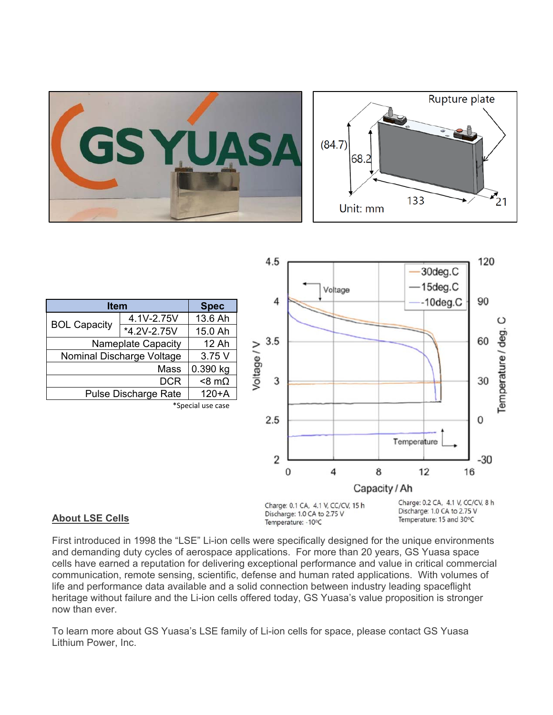



#### **About LSE Cells**

Charge: 0.1 CA, 4.1 V, CC/CV, 15 h Discharge: 1.0 CA to 2.75 V Temperature: -10°C

Charge: 0.2 CA, 4.1 V, CC/CV, 8 h Discharge: 1.0 CA to 2.75 V Temperature: 15 and 30°C

First introduced in 1998 the "LSE" Li-ion cells were specifically designed for the unique environments and demanding duty cycles of aerospace applications. For more than 20 years, GS Yuasa space cells have earned a reputation for delivering exceptional performance and value in critical commercial communication, remote sensing, scientific, defense and human rated applications. With volumes of life and performance data available and a solid connection between industry leading spaceflight heritage without failure and the Li-ion cells offered today, GS Yuasa's value proposition is stronger now than ever.

To learn more about GS Yuasa's LSE family of Li-ion cells for space, please contact GS Yuasa Lithium Power, Inc.